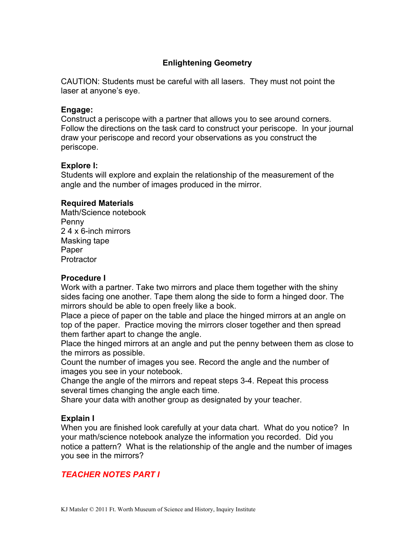## **Enlightening Geometry**

CAUTION: Students must be careful with all lasers. They must not point the laser at anyone's eye.

#### **Engage:**

Construct a periscope with a partner that allows you to see around corners. Follow the directions on the task card to construct your periscope. In your journal draw your periscope and record your observations as you construct the periscope.

#### **Explore I:**

Students will explore and explain the relationship of the measurement of the angle and the number of images produced in the mirror.

### **Required Materials**

Math/Science notebook Penny 2 4 x 6-inch mirrors Masking tape Paper **Protractor** 

#### **Procedure I**

Work with a partner. Take two mirrors and place them together with the shiny sides facing one another. Tape them along the side to form a hinged door. The mirrors should be able to open freely like a book.

Place a piece of paper on the table and place the hinged mirrors at an angle on top of the paper. Practice moving the mirrors closer together and then spread them farther apart to change the angle.

Place the hinged mirrors at an angle and put the penny between them as close to the mirrors as possible.

Count the number of images you see. Record the angle and the number of images you see in your notebook.

Change the angle of the mirrors and repeat steps 3-4. Repeat this process several times changing the angle each time.

Share your data with another group as designated by your teacher.

### **Explain I**

When you are finished look carefully at your data chart. What do you notice? In your math/science notebook analyze the information you recorded. Did you notice a pattern? What is the relationship of the angle and the number of images you see in the mirrors?

## *TEACHER NOTES PART I*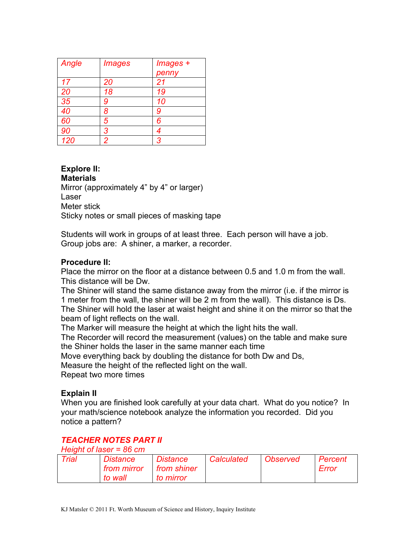| Angle | <i><b>Images</b></i> | Images +<br>penny |
|-------|----------------------|-------------------|
| 17    | 20                   | 21                |
| 20    | 18                   | 19                |
| 35    | 9                    | 10                |
| 40    | 8                    | 9                 |
| 60    | 5                    | 6                 |
| 90    | 3                    | 4                 |
| 120   | 2                    | 3                 |

#### **Explore II: Materials**

Mirror (approximately 4" by 4" or larger) Laser Meter stick Sticky notes or small pieces of masking tape

Students will work in groups of at least three. Each person will have a job. Group jobs are: A shiner, a marker, a recorder.

## **Procedure II:**

Place the mirror on the floor at a distance between 0.5 and 1.0 m from the wall. This distance will be Dw.

The Shiner will stand the same distance away from the mirror (i.e. if the mirror is 1 meter from the wall, the shiner will be 2 m from the wall). This distance is Ds. The Shiner will hold the laser at waist height and shine it on the mirror so that the beam of light reflects on the wall.

The Marker will measure the height at which the light hits the wall.

The Recorder will record the measurement (values) on the table and make sure the Shiner holds the laser in the same manner each time

Move everything back by doubling the distance for both Dw and Ds,

Measure the height of the reflected light on the wall.

Repeat two more times

## **Explain II**

When you are finished look carefully at your data chart. What do you notice? In your math/science notebook analyze the information you recorded. Did you notice a pattern?

## *TEACHER NOTES PART II*

*Height of laser = 86 cm*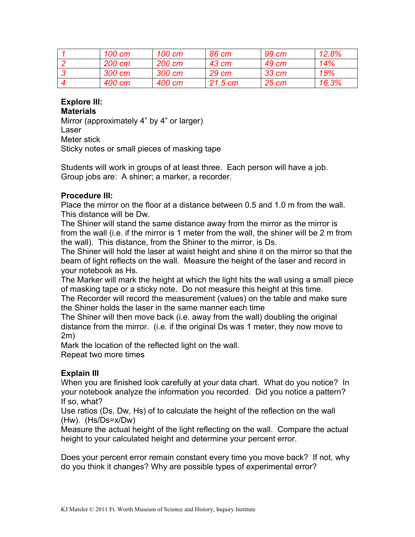| 100 cm | 100 cm | 86 cm     | 99 cm             | 12.8% |
|--------|--------|-----------|-------------------|-------|
| 200 cm | 200 cm | 43 cm     | 49 cm             | 14%   |
| 300 cm | 300 cm | 29 cm     | 33 cm             | 15%   |
| 400 cm | 400 cm | $21.5$ cm | $25 \, \text{cm}$ | 16.3% |

#### **Explore III: Materials**

Mirror (approximately 4" by 4" or larger) Laser Meter stick Sticky notes or small pieces of masking tape

Students will work in groups of at least three. Each person will have a job. Group jobs are: A shiner; a marker, a recorder.

## **Procedure III:**

Place the mirror on the floor at a distance between 0.5 and 1.0 m from the wall. This distance will be Dw.

The Shiner will stand the same distance away from the mirror as the mirror is from the wall (i.e. if the mirror is 1 meter from the wall, the shiner will be 2 m from the wall). This distance, from the Shiner to the mirror, is Ds.

The Shiner will hold the laser at waist height and shine it on the mirror so that the beam of light reflects on the wall. Measure the height of the laser and record in your notebook as Hs.

The Marker will mark the height at which the light hits the wall using a small piece of masking tape or a sticky note. Do not measure this height at this time.

The Recorder will record the measurement (values) on the table and make sure the Shiner holds the laser in the same manner each time

The Shiner will then move back (i.e. away from the wall) doubling the original distance from the mirror. (i.e. if the original Ds was 1 meter, they now move to 2m)

Mark the location of the reflected light on the wall. Repeat two more times

## **Explain III**

When you are finished look carefully at your data chart. What do you notice? In your notebook analyze the information you recorded. Did you notice a pattern? If so, what?

Use ratios (Ds, Dw, Hs) of to calculate the height of the reflection on the wall (Hw). (Hs/Ds=x/Dw)

Measure the actual height of the light reflecting on the wall. Compare the actual height to your calculated height and determine your percent error.

Does your percent error remain constant every time you move back? If not, why do you think it changes? Why are possible types of experimental error?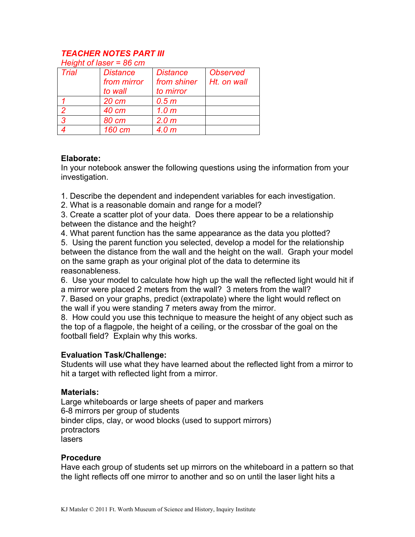#### *TEACHER NOTES PART III Height of laser = 86 cm*

| Height of laser = 66 cm |                 |                  |                 |  |
|-------------------------|-----------------|------------------|-----------------|--|
| <b>Trial</b>            | <b>Distance</b> | <b>Distance</b>  | <b>Observed</b> |  |
|                         | from mirror     | from shiner      | Ht. on wall     |  |
|                         | to wall         | to mirror        |                 |  |
|                         | 20 cm           | 0.5 <sub>m</sub> |                 |  |
| 2                       | 40 cm           | 1.0 <sub>m</sub> |                 |  |
| $\overline{3}$          | 80 cm           | 2.0 <sub>m</sub> |                 |  |
|                         | 160 cm          | 4.0 <sub>m</sub> |                 |  |

### **Elaborate:**

In your notebook answer the following questions using the information from your investigation.

1. Describe the dependent and independent variables for each investigation.

2. What is a reasonable domain and range for a model?

3. Create a scatter plot of your data. Does there appear to be a relationship between the distance and the height?

4. What parent function has the same appearance as the data you plotted? 5. Using the parent function you selected, develop a model for the relationship between the distance from the wall and the height on the wall. Graph your model on the same graph as your original plot of the data to determine its reasonableness.

6. Use your model to calculate how high up the wall the reflected light would hit if a mirror were placed 2 meters from the wall? 3 meters from the wall?

7. Based on your graphs, predict (extrapolate) where the light would reflect on the wall if you were standing 7 meters away from the mirror.

8. How could you use this technique to measure the height of any object such as the top of a flagpole, the height of a ceiling, or the crossbar of the goal on the football field? Explain why this works.

### **Evaluation Task/Challenge:**

Students will use what they have learned about the reflected light from a mirror to hit a target with reflected light from a mirror.

### **Materials:**

Large whiteboards or large sheets of paper and markers 6-8 mirrors per group of students binder clips, clay, or wood blocks (used to support mirrors) protractors lasers

### **Procedure**

Have each group of students set up mirrors on the whiteboard in a pattern so that the light reflects off one mirror to another and so on until the laser light hits a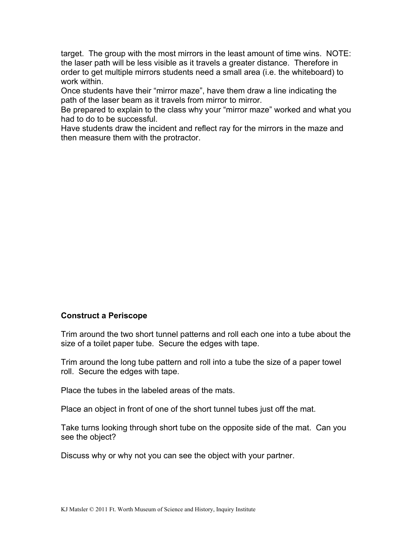target. The group with the most mirrors in the least amount of time wins. NOTE: the laser path will be less visible as it travels a greater distance. Therefore in order to get multiple mirrors students need a small area (i.e. the whiteboard) to work within.

Once students have their "mirror maze", have them draw a line indicating the path of the laser beam as it travels from mirror to mirror.

Be prepared to explain to the class why your "mirror maze" worked and what you had to do to be successful.

Have students draw the incident and reflect ray for the mirrors in the maze and then measure them with the protractor.

### **Construct a Periscope**

Trim around the two short tunnel patterns and roll each one into a tube about the size of a toilet paper tube. Secure the edges with tape.

Trim around the long tube pattern and roll into a tube the size of a paper towel roll. Secure the edges with tape.

Place the tubes in the labeled areas of the mats.

Place an object in front of one of the short tunnel tubes just off the mat.

Take turns looking through short tube on the opposite side of the mat. Can you see the object?

Discuss why or why not you can see the object with your partner.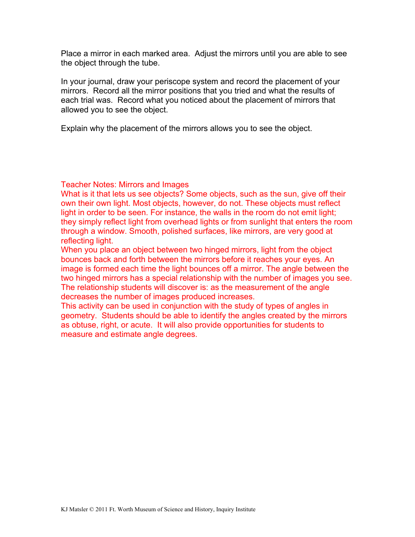Place a mirror in each marked area. Adjust the mirrors until you are able to see the object through the tube.

In your journal, draw your periscope system and record the placement of your mirrors. Record all the mirror positions that you tried and what the results of each trial was. Record what you noticed about the placement of mirrors that allowed you to see the object.

Explain why the placement of the mirrors allows you to see the object.

Teacher Notes: Mirrors and Images

What is it that lets us see objects? Some objects, such as the sun, give off their own their own light. Most objects, however, do not. These objects must reflect light in order to be seen. For instance, the walls in the room do not emit light; they simply reflect light from overhead lights or from sunlight that enters the room through a window. Smooth, polished surfaces, like mirrors, are very good at reflecting light.

When you place an object between two hinged mirrors, light from the object bounces back and forth between the mirrors before it reaches your eyes. An image is formed each time the light bounces off a mirror. The angle between the two hinged mirrors has a special relationship with the number of images you see. The relationship students will discover is: as the measurement of the angle decreases the number of images produced increases.

This activity can be used in conjunction with the study of types of angles in geometry. Students should be able to identify the angles created by the mirrors as obtuse, right, or acute. It will also provide opportunities for students to measure and estimate angle degrees.